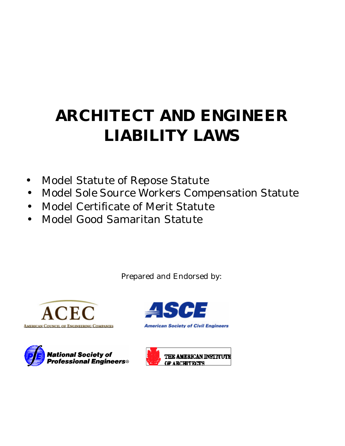# **ARCHITECT AND ENGINEER LIABILITY LAWS**

- Model Statute of Repose Statute
- Model Sole Source Workers Compensation Statute
- Model Certificate of Merit Statute
- Model Good Samaritan Statute

Prepared and Endorsed by:







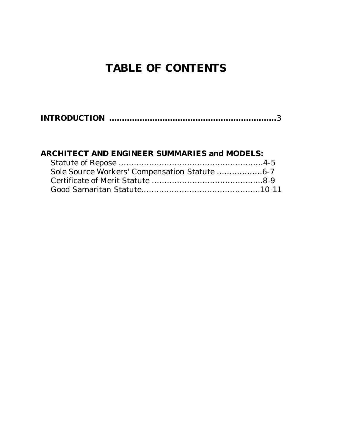## **TABLE OF CONTENTS**

### **ARCHITECT AND ENGINEER SUMMARIES and MODELS:**

| Sole Source Workers' Compensation Statute 6-7 |  |
|-----------------------------------------------|--|
|                                               |  |
|                                               |  |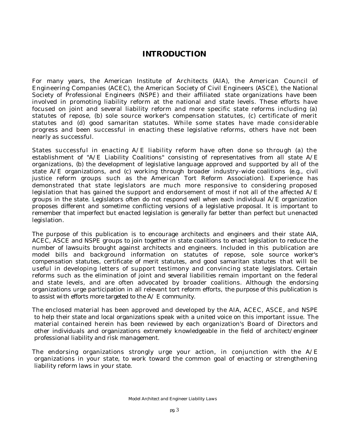#### **INTRODUCTION**

For many years, the American Institute of Architects (AIA), the American Council of Engineering Companies (ACEC), the American Society of Civil Engineers (ASCE), the National Society of Professional Engineers (NSPE) and their affiliated state organizations have been involved in promoting liability reform at the national and state levels. These efforts have focused on joint and several liability reform and more specific state reforms including (a) statutes of repose, (b) sole source worker's compensation statutes, (c) certificate of merit statutes and (d) good samaritan statutes. While some states have made considerable progress and been successful in enacting these legislative reforms, others have not been nearly as successful.

States successful in enacting A/E liability reform have often done so through (a) the establishment of "A/E Liability Coalitions" consisting of representatives from all state A/E organizations, (b) the development of legislative language approved and supported by all of the state  $A/E$  organizations, and (c) working through broader industry-wide coalitions (e.g., civil justice reform groups such as the American Tort Reform Association). Experience has demonstrated that state legislators are much more responsive to considering proposed legislation that has gained the support and endorsement of most if not all of the affected A/E groups in the state. Legislators often do not respond well when each individual A/E organization proposes different and sometime conflicting versions of a legislative proposal. It is important to remember that imperfect but enacted legislation is generally far better than perfect but unenacted legislation.

The purpose of this publication is to encourage architects and engineers and their state AIA, ACEC, ASCE and NSPE groups to join together in state coalitions to enact legislation to reduce the number of lawsuits brought against architects and engineers. Included in this publication are model bills and background information on statutes of repose, sole source worker's compensation statutes, certificate of merit statutes, and good samaritan statutes that will be useful in developing letters of support testimony and convincing state legislators. Certain reforms such as the elimination of joint and several liabilities remain important on the federal and state levels, and are often advocated by broader coalitions. Although the endorsing organizations urge participation in all relevant tort reform efforts, the purpose of this publication is to assist with efforts more targeted to the A/ E community.

The enclosed material has been approved and developed by the AIA, ACEC, ASCE, and NSPE to help their state and local organizations speak with a united voice on this important issue. The material contained herein has been reviewed by each organization's Board of Directors and other individuals and organizations extremely knowledgeable in the field of architect/engineer professional liability and risk management.

The endorsing organizations strongly urge your action, in conjunction with the  $A/E$ organizations in your state, to work toward the common goal of enacting or strengthening liability reform laws in your state.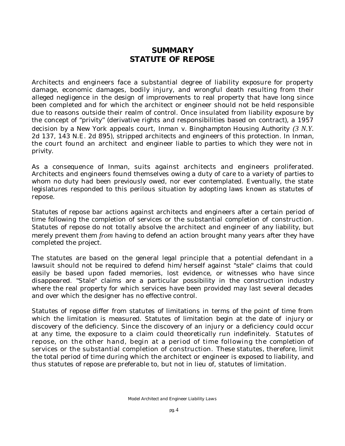#### **SUMMARY STATUTE OF REPOSE**

Architects and engineers face a substantial degree of liability exposure for property damage, economic damages, bodily injury, and wrongful death resulting from their alleged negligence in the design of improvements to real property that have long since been completed and for which the architect or engineer should not be held responsible due to reasons outside their realm of control. Once insulated from liability exposure by the concept of "privity" (derivative rights and responsibilities based on contract), a 1957 decision by a New York appeals court, *Inman v. Binghampton Housing Authority (3 N.Y.*  2d 137, 143 N.E. 2d 895), stripped architects and engineers of this protection. In *Inman,*  the court found an architect and engineer liable to parties to which they were not in privity.

As a consequence of *Inman,* suits against architects and engineers proliferated. Architects and engineers found themselves owing a duty of care to a variety of parties to whom no duty had been previously owed, nor ever contemplated. Eventually, the state legislatures responded to this perilous situation by adopting laws known as statutes of repose.

Statutes of repose bar actions against architects and engineers after a certain period of time following the completion of services or the substantial completion of construction. Statutes of repose do not totally absolve the architect and engineer of any liability, but merely prevent them *from* having to defend an action brought many years after they have completed the project.

The statutes are based on the general legal principle that a potential defendant in a lawsuit should not be required to defend him/herself against "stale" claims that could easily be based upon faded memories, lost evidence, or witnesses who have since disappeared. "Stale" claims are a particular possibility in the construction industry where the real property for which services have been provided may last several decades and over which the designer has no effective control.

Statutes of repose differ from statutes of limitations in terms of the point of time from which the limitation is measured. Statutes of limitation begin at the date of injury or discovery of the deficiency. Since the discovery of an injury or a deficiency could occur at any time, the exposure to a claim could theoretically run indefinitely. Statutes of repose, on the other hand, begin at a period of time following the completion of services or the substantial completion of construction. These statutes, therefore, limit the total period of time during which the architect or engineer is exposed to liability, and thus statutes of repose are preferable to, but not in lieu of, statutes of limitation.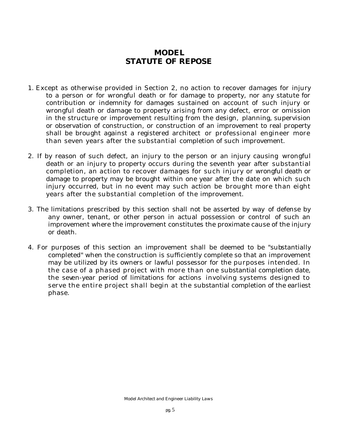#### **MODEL STATUTE OF REPOSE**

- 1. Except as otherwise provided in Section 2, no action to recover damages for injury to a person or for wrongful death or for damage to property, nor any statute for contribution or indemnity for damages sustained on account of such injury or wrongful death or damage to property arising from any defect, error or omission in the structure or improvement resulting from the design, planning, supervision or observation of construction, or construction of an improvement to real property shall be brought against a registered architect or professional engineer more than seven years after the substantial completion of such improvement.
- 2. If by reason of such defect, an injury to the person or an injury causing wrongful death or an injury to property occurs during the seventh year after substantial completion, an action to recover damages for such injury or wrongful death or damage to property may be brought within one year after the date on which such injury occurred, but in no event may such action be brought more than eight years after the substantial completion of the improvement.
- 3. The limitations prescribed by this section shall not be asserted by way of defense by any owner, tenant, or other person in actual possession or control of such an improvement where the improvement constitutes the proximate cause of the injury or death.
- 4. For purposes of this section an improvement shall be deemed to be "substantially completed" when the construction is sufficiently complete so that an improvement may be utilized by its owners or lawful possessor for the purposes intended. In the case of a phased project with more than one substantial completion date, the seven-year period of limitations for actions involving systems designed to serve the entire project shall begin at the substantial completion of the earliest phase.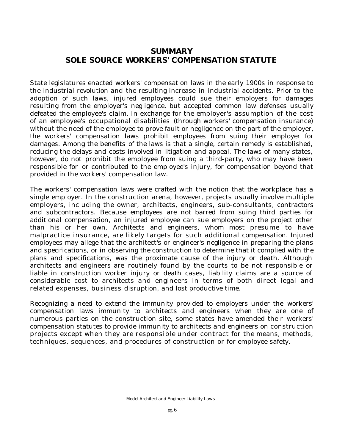#### **SUMMARY SOLE SOURCE WORKERS' COMPENSATION STATUTE**

State legislatures enacted workers' compensation laws in the early 1900s in response to the industrial revolution and the resulting increase in industrial accidents. Prior to the adoption of such laws, injured employees could sue their employers for damages resulting from the employer's negligence, but accepted common law defenses usually defeated the employee's claim. In exchange for the employer's assumption of the cost of an employee's occupational disabilities (through workers' compensation insurance) without the need of the employee to prove fault or negligence on the part of the employer, the workers' compensation laws prohibit employees from suing their employer for damages. Among the benefits of the laws is that a single, certain remedy is established, reducing the delays and costs involved in litigation and appeal. The laws of many states, however, do not prohibit the employee from suing a third-party, who may have been responsible for or contributed to the employee's injury, for compensation beyond that provided in the workers' compensation law.

The workers' compensation laws were crafted with the notion that the workplace has a single employer. In the construction arena, however, projects usually involve multiple employers, including the owner, architects, engineers, sub-consultants, contractors and subcontractors. Because employees are not barred from suing third parties for additional compensation, an injured employee can sue employers on the project other than his or her own. Architects and engineers, whom most presume to have malpractice insurance, are likely targets for such additional compensation. Injured employees may allege that the architect's or engineer's negligence in preparing the plans and specifications, or in observing the construction to determine that it complied with the plans and specifications, was the proximate cause of the injury or death. Although architects and engineers are routinely found by the courts to be not responsible or liable in construction worker injury or death cases, liability claims are a source of considerable cost to architects and engineers in terms of both direct legal and related expenses, business disruption, and lost productive time.

Recognizing a need to extend the immunity provided to employers under the workers' compensation laws immunity to architects and engineers when they are one of numerous parties on the construction site, some states have amended their workers' compensation statutes to provide immunity to architects and engineers on construction projects except when they are responsible under contract for the means, methods, techniques, sequences, and procedures of construction or for employee safety.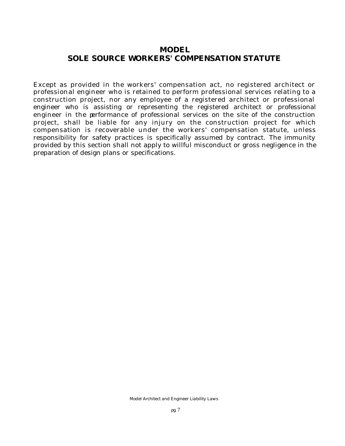#### **MODEL SOLE SOURCE WORKERS' COMPENSATION STATUTE**

Except as provided in the workers' compensation act, no registered architect or professional engineer who is retained to perform professional services relating to a construction project, nor any employee of a registered architect or professional engineer who is assisting or representing the registered architect or professional engineer in the performance of professional services on the site of the construction project, shall be liable for any injury on the construction project for which compensation is recoverable under the workers' compensation statute, unless responsibility for safety practices is specifically assumed by contract. The immunity provided by this section shall not apply to willful misconduct or gross negligence in the preparation of design plans or specifications.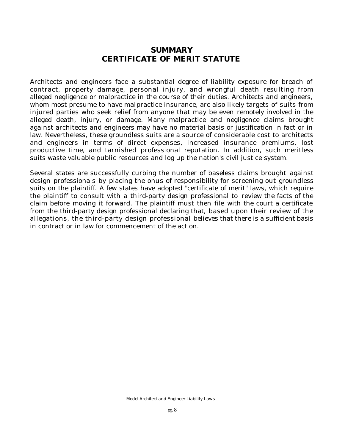#### **SUMMARY CERTIFICATE OF MERIT STATUTE**

Architects and engineers face a substantial degree of liability exposure for breach of contract, property damage, personal injury, and wrongful death resulting from alleged negligence or malpractice in the course of their duties. Architects and engineers, whom most presume to have malpractice insurance, are also likely targets of suits from injured parties who seek relief from anyone that may be even remotely involved in the alleged death, injury, or damage. Many malpractice and negligence claims brought against architects and engineers may have no material basis or justification in fact or in law. Nevertheless, these groundless suits are a source of considerable cost to architects and engineers in terms of direct expenses, increased insurance premiums, lost productive time, and tarnished professional reputation. In addition, such meritless suits waste valuable public resources and log up the nation's civil justice system.

Several states are successfully curbing the number of baseless claims brought against design professionals by placing the onus of responsibility for screening out groundless suits on the plaintiff. A few states have adopted "certificate of merit" laws, which require the plaintiff to consult with a third-party design professional to review the facts of the claim before moving it forward. The plaintiff must then file with the court a certificate from the third-party design professional declaring that, based upon their review of the allegations, the third-party design professional believes that there is a sufficient basis in contract or in law for commencement of the action.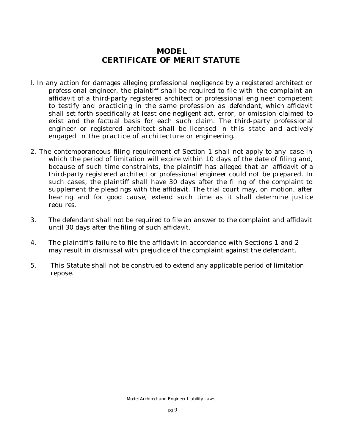#### **MODEL CERTIFICATE OF MERIT STATUTE**

- l. In any action for damages alleging professional negligence by a registered architect or professional engineer, the plaintiff shall be required to file with the complaint an affidavit of a third-party registered architect or professional engineer competent to testify and practicing in the same profession as defendant, which affidavit shall set forth specifically at least one negligent act, error, or omission claimed to exist and the factual basis for each such claim. The third-party professional engineer or registered architect shall be licensed in this state and actively engaged in the practice of architecture or engineering.
- 2. The contemporaneous filing requirement of Section 1 shall not apply to any case in which the period of limitation will expire within 10 days of the date of filing and, because of such time constraints, the plaintiff has alleged that an affidavit of a third-party registered architect or professional engineer could not be prepared. In such cases, the plaintiff shall have 30 days after the filing of the complaint to supplement the pleadings with the affidavit. The trial court may, on motion, after hearing and for good cause, extend such time as it shall determine justice requires.
- 3. The defendant shall not be required to file an answer to the complaint and affidavit until 30 days after the filing of such affidavit.
- 4. The plaintiff's failure to file the affidavit in accordance with Sections 1 and 2 may result in dismissal with prejudice of the complaint against the defendant.
- 5. This Statute shall not be construed to extend any applicable period of limitation repose.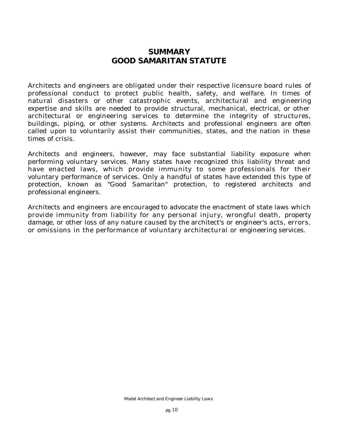#### **SUMMARY GOOD SAMARITAN STATUTE**

Architects and engineers are obligated under their respective licensure board rules of professional conduct to protect public health, safety, and welfare. In times of natural disasters or other catastrophic events, architectural and engineering expertise and skills are needed to provide structural, mechanical, electrical, or other architectural or engineering services to determine the integrity of structures, buildings, piping, or other systems. Architects and professional engineers are often called upon to voluntarily assist their communities, states, and the nation in these times of crisis.

Architects and engineers, however, may face substantial liability exposure when performing voluntary services. Many states have recognized this liability threat and have enacted laws, which provide immunity to some professionals for their voluntary performance of services. Only a handful of states have extended this type of protection, known as "Good Samaritan" protection, to registered architects and professional engineers.

Architects and engineers are encouraged to advocate the enactment of state laws which provide immunity from liability for any personal injury, wrongful death, property damage, or other loss of any nature caused by the architect's or engineer's acts, errors, or omissions in the performance of voluntary architectural or engineering services.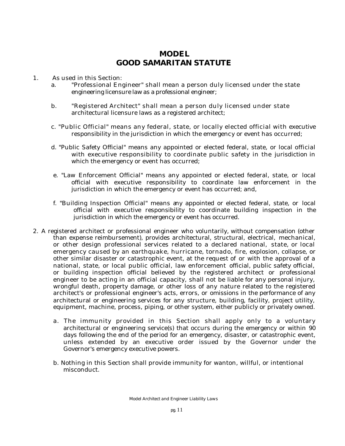#### **MODEL GOOD SAMARITAN STATUTE**

- 1. As used in this Section:
	- a. "Professional Engineer" shall mean a person duly licensed under the state engineering licensure law as a professional engineer;
	- b. "Registered Architect" shall mean a person duly licensed under state architectural licensure laws as a registered architect;
	- c. "Public Official" means any federal, state, or locally elected official with executive responsibility in the jurisdiction in which the emergency or event has occurred;
	- d. "Public Safety Official" means any appointed or elected federal, state, or local official with executive responsibility to coordinate public safety in the jurisdiction in which the emergency or event has occurred;
	- e. "Law Enforcement Official" means any appointed or elected federal, state, or local official with executive responsibility to coordinate law enforcement in the jurisdiction in which the emergency or event has occurred; and,
	- f. "Building Inspection Official" means any appointed or elected federal, state, or local official with executive responsibility to coordinate building inspection in the jurisdiction in which the emergency or event has occurred.
- 2. A registered architect or professional engineer who voluntarily, without compensation (other than expense reimbursement), provides architectural, structural, electrical, mechanical, or other design professional services related to a declared national, state, or local emergency caused by an earthquake, hurricane, tornado, fire, explosion, collapse, or other similar disaster or catastrophic event, at the request of or with the approval of a national, state, or local public official, law enforcement official, public safety official, or building inspection official believed by the registered architect or professional engineer to be acting in an official capacity, shall not be liable for any personal injury, wrongful death, property damage, or other loss of any nature related to the registered architect's or professional engineer's acts, errors, or omissions in the performance of any architectural or engineering services for any structure, building, facility, project utility, equipment, machine, process, piping, or other system, either publicly or privately owned.
	- a. The immunity provided in this Section shall apply only to a voluntary architectural or engineering service(s) that occurs during the emergency or within 90 days following the end of the period for an emergency, disaster, or catastrophic event, unless extended by an executive order issued by the Governor under the Governor's emergency executive powers.
	- b. Nothing in this Section shall provide immunity for wanton, willful, or intentional misconduct.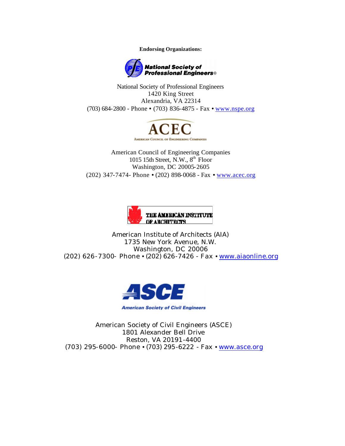**Endorsing Organizations:**



National Society of Professional Engineers 1420 King Street Alexandria, VA 22314 (703) 684-2800 - Phone • (703) 836-4875 - Fax • www.nspe.org



American Council of Engineering Companies 1015 15th Street, N.W., 8<sup>th</sup> Floor Washington, DC 20005-2605 (202) 347-7474- Phone • (202) 898-0068 - Fax • www.acec.org



American Institute of Architects (AIA) 1735 New York Avenue, N.W. Washington, DC 20006 (202) 626-7300- Phone • (202) 626-7426 - Fax • www.aiaonline.org



American Society of Civil Engineers (ASCE) 1801 Alexander Bell Drive Reston, VA 20191-4400 (703) 295-6000- Phone • (703) 295-6222 - Fax • www.asce.org